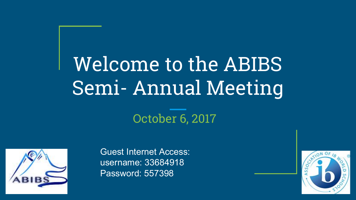# Welcome to the ABIBS Semi- Annual Meeting

#### October 6, 2017



Guest Internet Access: username: 33684918 Password: 557398

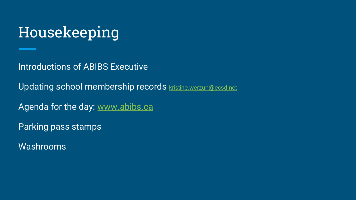### Housekeeping

Introductions of ABIBS Executive

Updating school membership records [kristine.werzun@ecsd.net](mailto:kris.werzun@ecsd.net)

Agenda for the day: [www.abibs.ca](http://www.abibs.ca)

Parking pass stamps

Washrooms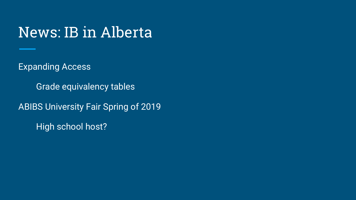#### News: IB in Alberta

Expanding Access

Grade equivalency tables

ABIBS University Fair Spring of 2019

High school host?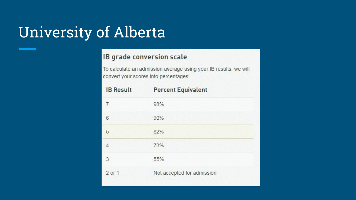#### University of Alberta

#### IB grade conversion scale

To calculate an admission average using your IB results, we will convert your scores into percentages:

| <b>IB Result</b> | <b>Percent Equivalent</b>  |
|------------------|----------------------------|
| 7                | 98%                        |
| 6                | 90%                        |
| 5                | 82%                        |
| 4                | 73%                        |
| 3                | 55%                        |
| 2 or 1           | Not accepted for admission |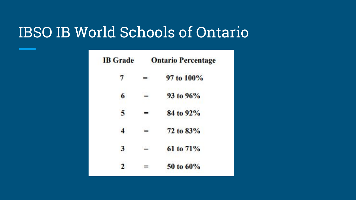#### IBSO IB World Schools of Ontario

| <b>IB</b> Grade | <b>Ontario Percentage</b> |             |
|-----------------|---------------------------|-------------|
| $\tau$          | ≕                         | 97 to 100%  |
| 6               |                           | 93 to 96%   |
| 5               | =                         | 84 to 92%   |
| 4               |                           | 72 to 83%   |
| 3               | ≕                         | 61 to $71%$ |
|                 |                           | 50 to 60%   |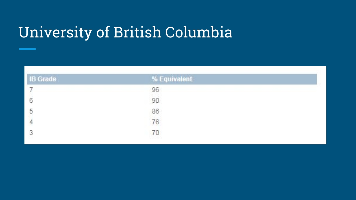## University of British Columbia

| <b>IB Grade</b> | % Equivalent                                  |  |  |
|-----------------|-----------------------------------------------|--|--|
|                 | 96                                            |  |  |
| 6               |                                               |  |  |
| -2              |                                               |  |  |
| $\overline{4}$  | $\begin{array}{c} 90 \\ 86 \\ 76 \end{array}$ |  |  |
|                 | 70                                            |  |  |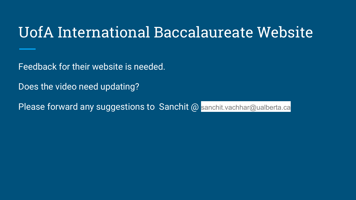#### UofA International Baccalaureate Website

Feedback for their website is needed.

Does the video need updating?

Please forward any suggestions to Sanchit @ sanchit.vachhar@ualberta.ca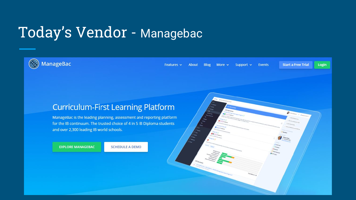#### Today's Vendor - Managebac

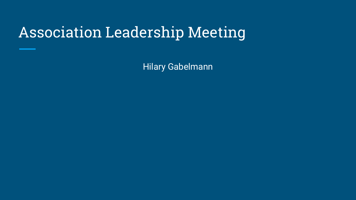### Association Leadership Meeting

Hilary Gabelmann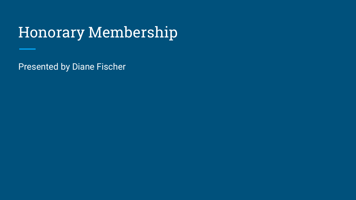### Honorary Membership

Presented by Diane Fischer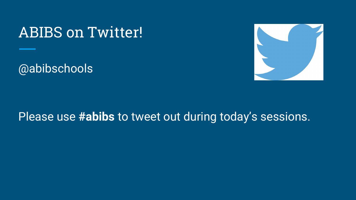#### ABIBS on Twitter!

@abibschools



#### Please use **#abibs** to tweet out during today's sessions.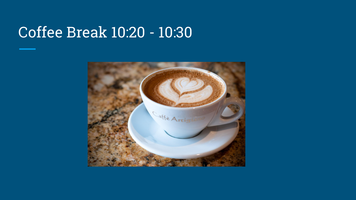#### Coffee Break 10:20 - 10:30

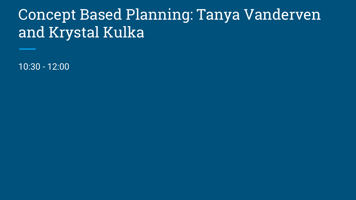#### Concept Based Planning: Tanya Vanderven and Krystal Kulka

10:30 - 12:00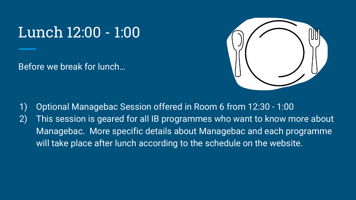#### Lunch 12:00 - 1:00

Before we break for lunch…



1) Optional Managebac Session offered in Room 6 from 12:30 - 1:00 2) This session is geared for all IB programmes who want to know more about Managebac. More specific details about Managebac and each programme will take place after lunch according to the schedule on the website.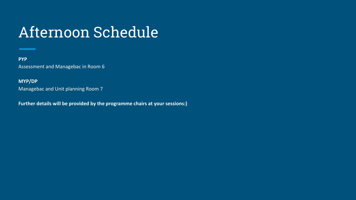## Afternoon Schedule

#### **PYP** Assessment and Managebac in Room 6

#### **MYP/DP**

Managebac and Unit planning Room 7

**Further details will be provided by the programme chairs at your sessions:)**